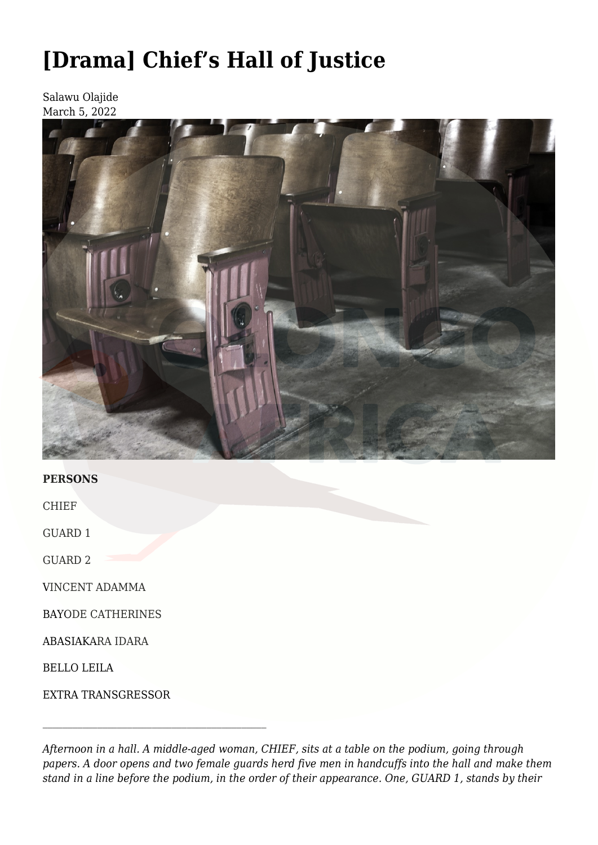# **[\[Drama\] Chief's Hall of Justice](https://olongoafrica.com/drama-chiefs-hall-of-justice/)**

Salawu Olajide March 5, 2022



## **PERSONS**

CHIEF

GUARD 1

GUARD 2

VINCENT ADAMMA

BAYODE CATHERINES

ABASIAKARA IDARA

BELLO LEILA

EXTRA TRANSGRESSOR

*Afternoon in a hall. A middle-aged woman, CHIEF, sits at a table on the podium, going through papers. A door opens and two female guards herd five men in handcuffs into the hall and make them stand in a line before the podium, in the order of their appearance. One, GUARD 1, stands by their*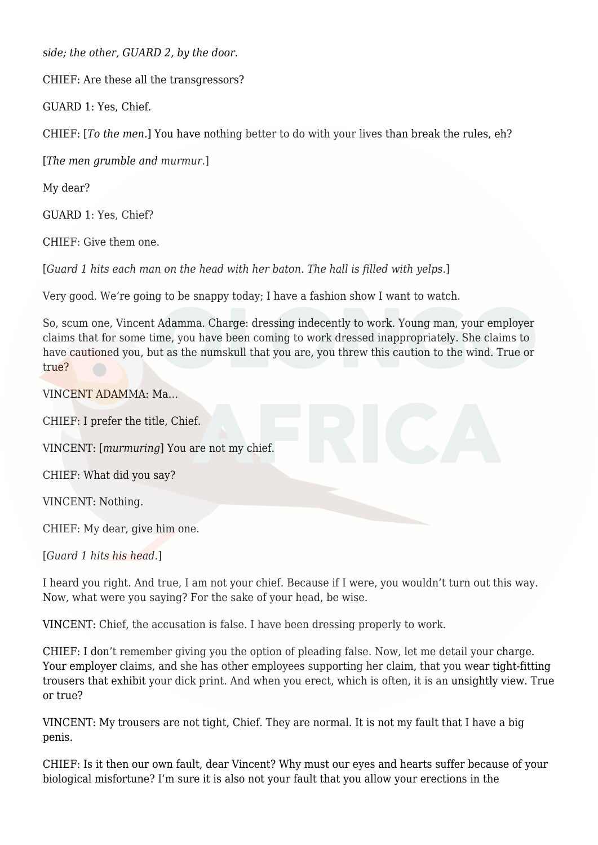*side; the other, GUARD 2, by the door*.

CHIEF: Are these all the transgressors?

GUARD 1: Yes, Chief.

CHIEF: [*To the men.*] You have nothing better to do with your lives than break the rules, eh?

[*The men grumble and murmur.*]

My dear?

GUARD 1: Yes, Chief?

CHIEF: Give them one.

[*Guard 1 hits each man on the head with her baton. The hall is filled with yelps.*]

Very good. We're going to be snappy today; I have a fashion show I want to watch.

So, scum one, Vincent Adamma. Charge: dressing indecently to work. Young man, your employer claims that for some time, you have been coming to work dressed inappropriately. She claims to have cautioned you, but as the numskull that you are, you threw this caution to the wind. True or true?

VINCENT ADAMMA: Ma…

CHIEF: I prefer the title, Chief.

VINCENT: [*murmuring*] You are not my chief.

CHIEF: What did you say?

VINCENT: Nothing.

CHIEF: My dear, give him one.

[*Guard 1 hits his head.*]

I heard you right. And true, I am not your chief. Because if I were, you wouldn't turn out this way. Now, what were you saying? For the sake of your head, be wise.

VINCENT: Chief, the accusation is false. I have been dressing properly to work.

CHIEF: I don't remember giving you the option of pleading false. Now, let me detail your charge. Your employer claims, and she has other employees supporting her claim, that you wear tight-fitting trousers that exhibit your dick print. And when you erect, which is often, it is an unsightly view. True or true?

VINCENT: My trousers are not tight, Chief. They are normal. It is not my fault that I have a big penis.

CHIEF: Is it then our own fault, dear Vincent? Why must our eyes and hearts suffer because of your biological misfortune? I'm sure it is also not your fault that you allow your erections in the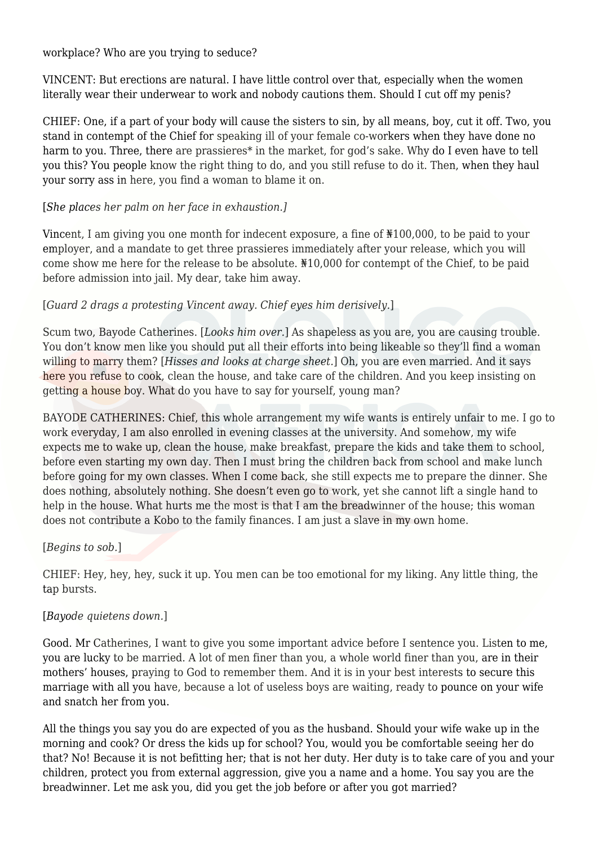workplace? Who are you trying to seduce?

VINCENT: But erections are natural. I have little control over that, especially when the women literally wear their underwear to work and nobody cautions them. Should I cut off my penis?

CHIEF: One, if a part of your body will cause the sisters to sin, by all means, boy, cut it off. Two, you stand in contempt of the Chief for speaking ill of your female co-workers when they have done no harm to you. Three, there are prassieres<sup>\*</sup> in the market, for god's sake. Why do I even have to tell you this? You people know the right thing to do, and you still refuse to do it. Then, when they haul your sorry ass in here, you find a woman to blame it on.

## [*She places her palm on her face in exhaustion.]*

Vincent, I am giving you one month for indecent exposure, a fine of ₦100,000, to be paid to your employer, and a mandate to get three prassieres immediately after your release, which you will come show me here for the release to be absolute. ₦10,000 for contempt of the Chief, to be paid before admission into jail. My dear, take him away.

## [*Guard 2 drags a protesting Vincent away. Chief eyes him derisively.*]

Scum two, Bayode Catherines. [*Looks him over.*] As shapeless as you are, you are causing trouble. You don't know men like you should put all their efforts into being likeable so they'll find a woman willing to marry them? [*Hisses and looks at charge sheet.*] Oh, you are even married. And it says here you refuse to cook, clean the house, and take care of the children. And you keep insisting on getting a house boy. What do you have to say for yourself, young man?

BAYODE CATHERINES: Chief, this whole arrangement my wife wants is entirely unfair to me. I go to work everyday, I am also enrolled in evening classes at the university. And somehow, my wife expects me to wake up, clean the house, make breakfast, prepare the kids and take them to school, before even starting my own day. Then I must bring the children back from school and make lunch before going for my own classes. When I come back, she still expects me to prepare the dinner. She does nothing, absolutely nothing. She doesn't even go to work, yet she cannot lift a single hand to help in the house. What hurts me the most is that I am the breadwinner of the house; this woman does not contribute a Kobo to the family finances. I am just a slave in my own home.

## [*Begins to sob.*]

CHIEF: Hey, hey, hey, suck it up. You men can be too emotional for my liking. Any little thing, the tap bursts.

## [*Bayode quietens down.*]

Good. Mr Catherines, I want to give you some important advice before I sentence you. Listen to me, you are lucky to be married. A lot of men finer than you, a whole world finer than you, are in their mothers' houses, praying to God to remember them. And it is in your best interests to secure this marriage with all you have, because a lot of useless boys are waiting, ready to pounce on your wife and snatch her from you.

All the things you say you do are expected of you as the husband. Should your wife wake up in the morning and cook? Or dress the kids up for school? You, would you be comfortable seeing her do that? No! Because it is not befitting her; that is not her duty. Her duty is to take care of you and your children, protect you from external aggression, give you a name and a home. You say you are the breadwinner. Let me ask you, did you get the job before or after you got married?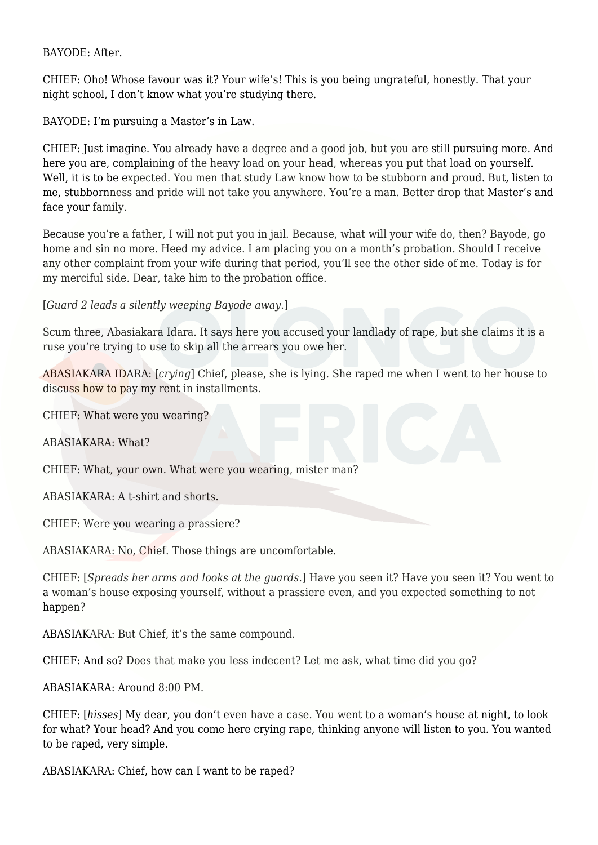#### BAYODE: After.

CHIEF: Oho! Whose favour was it? Your wife's! This is you being ungrateful, honestly. That your night school, I don't know what you're studying there.

BAYODE: I'm pursuing a Master's in Law.

CHIEF: Just imagine. You already have a degree and a good job, but you are still pursuing more. And here you are, complaining of the heavy load on your head, whereas you put that load on yourself. Well, it is to be expected. You men that study Law know how to be stubborn and proud. But, listen to me, stubbornness and pride will not take you anywhere. You're a man. Better drop that Master's and face your family.

Because you're a father, I will not put you in jail. Because, what will your wife do, then? Bayode, go home and sin no more. Heed my advice. I am placing you on a month's probation. Should I receive any other complaint from your wife during that period, you'll see the other side of me. Today is for my merciful side. Dear, take him to the probation office.

[*Guard 2 leads a silently weeping Bayode away.*]

Scum three, Abasiakara Idara. It says here you accused your landlady of rape, but she claims it is a ruse you're trying to use to skip all the arrears you owe her.

ABASIAKARA IDARA: [*crying*] Chief, please, she is lying. She raped me when I went to her house to discuss how to pay my rent in installments.

CHIEF: What were you wearing?

ABASIAKARA: What?

CHIEF: What, your own. What were you wearing, mister man?

ABASIAKARA: A t-shirt and shorts.

CHIEF: Were you wearing a prassiere?

ABASIAKARA: No, Chief. Those things are uncomfortable.

CHIEF: [*Spreads her arms and looks at the guards.*] Have you seen it? Have you seen it? You went to a woman's house exposing yourself, without a prassiere even, and you expected something to not happen?

ABASIAKARA: But Chief, it's the same compound.

CHIEF: And so? Does that make you less indecent? Let me ask, what time did you go?

ABASIAKARA: Around 8:00 PM.

CHIEF: [*hisses*] My dear, you don't even have a case. You went to a woman's house at night, to look for what? Your head? And you come here crying rape, thinking anyone will listen to you. You wanted to be raped, very simple.

ABASIAKARA: Chief, how can I want to be raped?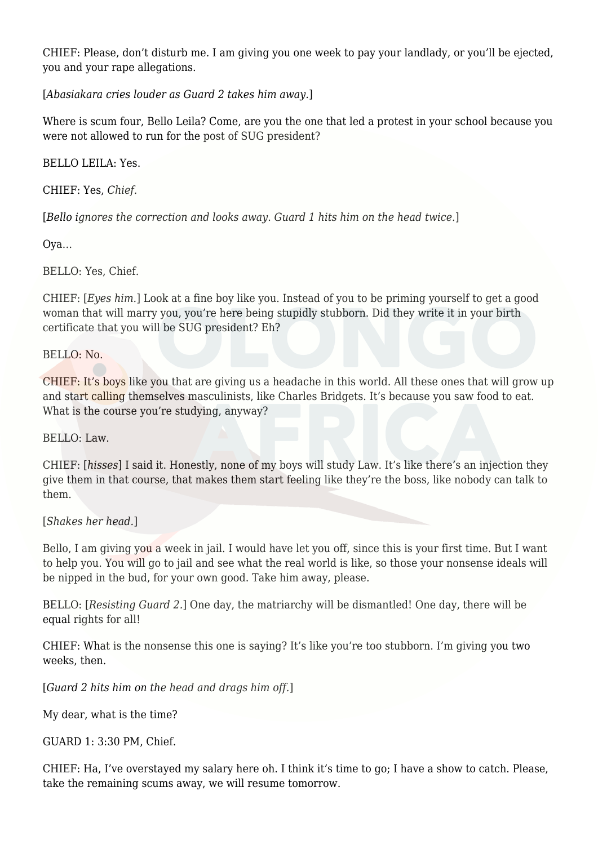CHIEF: Please, don't disturb me. I am giving you one week to pay your landlady, or you'll be ejected, you and your rape allegations.

[*Abasiakara cries louder as Guard 2 takes him away.*]

Where is scum four, Bello Leila? Come, are you the one that led a protest in your school because you were not allowed to run for the post of SUG president?

BELLO LEILA: Yes.

CHIEF: Yes, *Chief.*

[*Bello ignores the correction and looks away. Guard 1 hits him on the head twice.*]

Oya…

BELLO: Yes, Chief.

CHIEF: [*Eyes him.*] Look at a fine boy like you. Instead of you to be priming yourself to get a good woman that will marry you, you're here being stupidly stubborn. Did they write it in your birth certificate that you will be SUG president? Eh?

BELLO: No.

CHIEF: It's boys like you that are giving us a headache in this world. All these ones that will grow up and start calling themselves masculinists, like Charles Bridgets. It's because you saw food to eat. What is the course you're studying, anyway?

BELLO: Law.

CHIEF: [*hisses*] I said it. Honestly, none of my boys will study Law. It's like there's an injection they give them in that course, that makes them start feeling like they're the boss, like nobody can talk to them.

[*Shakes her head.*]

Bello, I am giving you a week in jail. I would have let you off, since this is your first time. But I want to help you. You will go to jail and see what the real world is like, so those your nonsense ideals will be nipped in the bud, for your own good. Take him away, please.

BELLO: [*Resisting Guard 2.*] One day, the matriarchy will be dismantled! One day, there will be equal rights for all!

CHIEF: What is the nonsense this one is saying? It's like you're too stubborn. I'm giving you two weeks, then.

[*Guard 2 hits him on the head and drags him off.*]

My dear, what is the time?

GUARD 1: 3:30 PM, Chief.

CHIEF: Ha, I've overstayed my salary here oh. I think it's time to go; I have a show to catch. Please, take the remaining scums away, we will resume tomorrow.